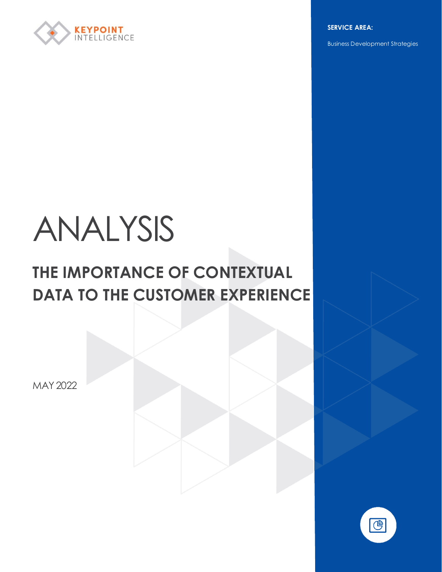

**SERVICE AREA:**

Business Development Strategies

# ANALYSIS

# **THE IMPORTANCE OF CONTEXTUAL DATA TO THE CUSTOMER EXPERIENCE**

MAY 2022

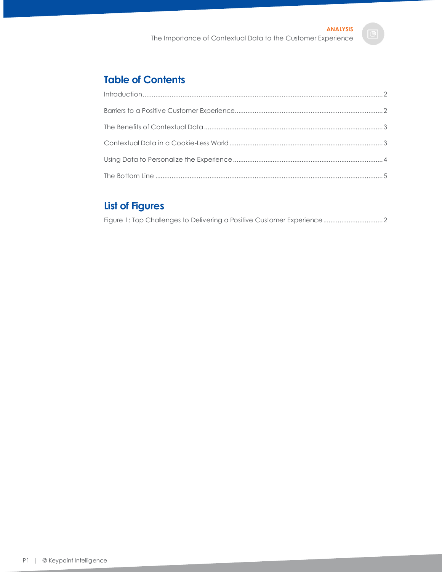### **Table of Contents**

## **List of Figures**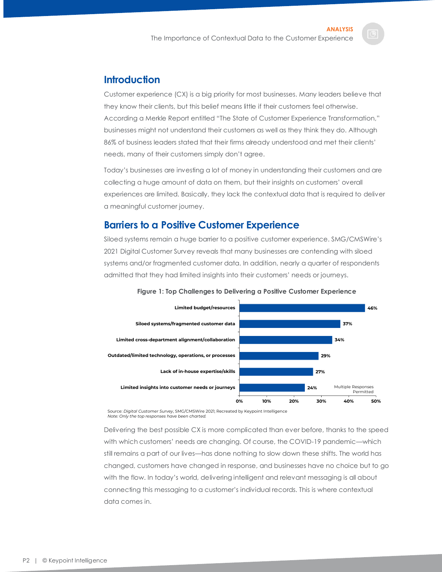#### <span id="page-2-0"></span>**Introduction**

Customer experience (CX) is a big priority for most businesses. Many leaders believe that they know their clients, but this belief means little if their customers feel otherwise. According a Merkle Report entitled "The State of Customer Experience Transformation," businesses might not understand their customers as well as they think they do. Although 86% of business leaders stated that their firms already understood and met their clients' needs, many of their customers simply don't agree.

Today's businesses are investing a lot of money in understanding their customers and are collecting a huge amount of data on them, but their insights on customers' overall experiences are limited. Basically, they lack the contextual data that is required to deliver a meaningful customer journey.

#### <span id="page-2-1"></span>**Barriers to a Positive Customer Experience**

Siloed systems remain a huge barrier to a positive customer experience. SMG/CMSWire's 2021 Digital Customer Survey reveals that many businesses are contending with siloed systems and/or fragmented customer data. In addition, nearly a quarter of respondents admitted that they had limited insights into their customers' needs or journeys.

<span id="page-2-2"></span>



Source: *Digital Customer Survey*, SMG/CMSWire 2021; Recreated by Keypoint Intelligence *Note: Only the top responses have been charted.*

Delivering the best possible CX is more complicated than ever before, thanks to the speed with which customers' needs are changing. Of course, the COVID-19 pandemic—which still remains a part of our lives—has done nothing to slow down these shifts. The world has changed, customers have changed in response, and businesses have no choice but to go with the flow. In today's world, delivering intelligent and relevant messaging is all about connecting this messaging to a customer's individual records. This is where contextual data comes in.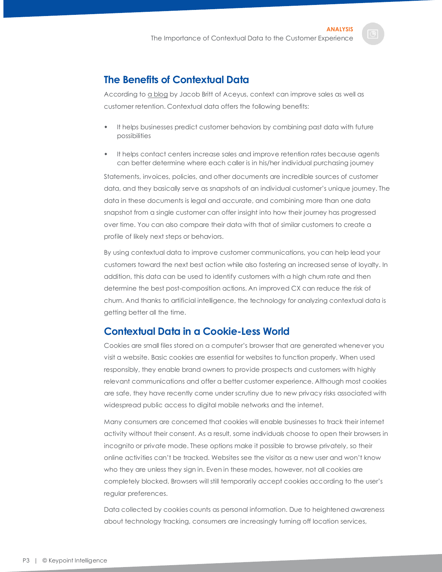#### <span id="page-3-0"></span>**The Benefits of Contextual Data**

According to [a blog](https://www.aceyus.com/blog/contextual-data-improve-customer-experience/) by Jacob Britt of Aceyus, context can improve sales as well as customer retention. Contextual data offers the following benefits:

- It helps businesses predict customer behaviors by combining past data with future possibilities
- It helps contact centers increase sales and improve retention rates because agents can better determine where each caller is in his/her individual purchasing journey

Statements, invoices, policies, and other documents are incredible sources of customer data, and they basically serve as snapshots of an individual customer's unique journey. The data in these documents is legal and accurate, and combining more than one data snapshot from a single customer can offer insight into how their journey has progressed over time. You can also compare their data with that of similar customers to create a profile of likely next steps or behaviors.

By using contextual data to improve customer communications, you can help lead your customers toward the next best action while also fostering an increased sense of loyalty. In addition, this data can be used to identify customers with a high churn rate and then determine the best post-composition actions. An improved CX can reduce the risk of churn. And thanks to artificial intelligence, the technology for analyzing contextual data is getting better all the time.

#### <span id="page-3-1"></span>**Contextual Data in a Cookie-Less World**

Cookies are small files stored on a computer's browser that are generated whenever you visit a website. Basic cookies are essential for websites to function properly. When used responsibly, they enable brand owners to provide prospects and customers with highly relevant communications and offer a better customer experience. Although most cookies are safe, they have recently come under scrutiny due to new privacy risks associated with widespread public access to digital mobile networks and the internet.

Many consumers are concerned that cookies will enable businesses to track their internet activity without their consent. As a result, some individuals choose to open their browsers in incognito or private mode. These options make it possible to browse privately, so their online activities can't be tracked. Websites see the visitor as a new user and won't know who they are unless they sign in. Even in these modes, however, not all cookies are completely blocked. Browsers will still temporarily accept cookies according to the user's regular preferences.

Data collected by cookies counts as personal information. Due to heightened awareness about technology tracking, consumers are increasingly turning off location services,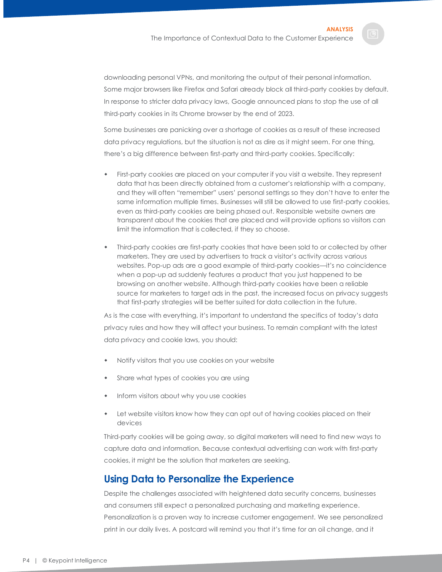downloading personal VPNs, and monitoring the output of their personal information. Some major browsers like Firefox and Safari already block all third-party cookies by default. In response to stricter data privacy laws, Google announced plans to stop the use of all third-party cookies in its Chrome browser by the end of 2023.

Some businesses are panicking over a shortage of cookies as a result of these increased data privacy regulations, but the situation is not as dire as it might seem. For one thing, there's a big difference between first-party and third-party cookies. Specifically:

- First-party cookies are placed on your computer if you visit a website. They represent data that has been directly obtained from a customer's relationship with a company, and they will often "remember" users' personal settings so they don't have to enter the same information multiple times. Businesses will still be allowed to use first-party cookies, even as third-party cookies are being phased out. Responsible website owners are transparent about the cookies that are placed and will provide options so visitors can limit the information that is collected, if they so choose.
- Third-party cookies are first-party cookies that have been sold to or collected by other marketers. They are used by advertisers to track a visitor's activity across various websites. Pop-up ads are a good example of third-party cookies—it's no coincidence when a pop-up ad suddenly features a product that you just happened to be browsing on another website. Although third-party cookies have been a reliable source for marketers to target ads in the past, the increased focus on privacy suggests that first-party strategies will be better suited for data collection in the future.

As is the case with everything, it's important to understand the specifics of today's data privacy rules and how they will affect your business. To remain compliant with the latest data privacy and cookie laws, you should:

- Notify visitors that you use cookies on your website
- Share what types of cookies you are using
- Inform visitors about why you use cookies
- Let website visitors know how they can opt out of having cookies placed on their devices

Third-party cookies will be going away, so digital marketers will need to find new ways to capture data and information. Because contextual advertising can work with first-party cookies, it might be the solution that marketers are seeking.

#### <span id="page-4-0"></span>**Using Data to Personalize the Experience**

Despite the challenges associated with heightened data security concerns, businesses and consumers still expect a personalized purchasing and marketing experience. Personalization is a proven way to increase customer engagement. We see personalized print in our daily lives. A postcard will remind you that it's time for an oil change, and it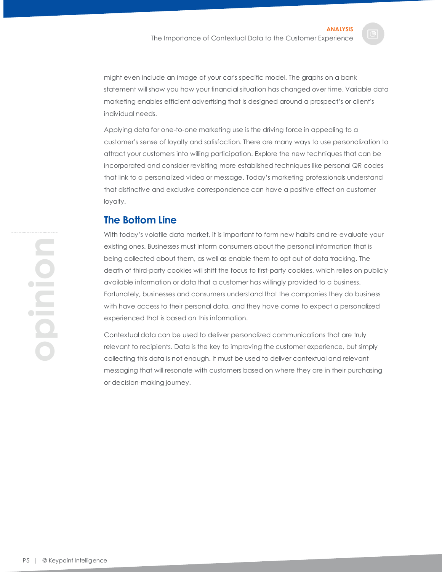might even include an image of your car's specific model. The graphs on a bank statement will show you how your financial situation has changed over time. Variable data marketing enables efficient advertising that is designed around a prospect's or client's individual needs.

Applying data for one-to-one marketing use is the driving force in appealing to a customer's sense of loyalty and satisfaction. There are many ways to use personalization to attract your customers into willing participation. Explore the new techniques that can be incorporated and consider revisiting more established techniques like personal QR codes that link to a personalized video or message. Today's marketing professionals understand that distinctive and exclusive correspondence can have a positive effect on customer loyalty.

#### <span id="page-5-0"></span>**The Bottom Line**

With today's volatile data market, it is important to form new habits and re-evaluate your existing ones. Businesses must inform consumers about the personal information that is being collected about them, as well as enable them to opt out of data tracking. The death of third-party cookies will shift the focus to first-party cookies, which relies on publicly available information or data that a customer has willingly provided to a business. Fortunately, businesses and consumers understand that the companies they do business with have access to their personal data, and they have come to expect a personalized experienced that is based on this information.

Contextual data can be used to deliver personalized communications that are truly relevant to recipients. Data is the key to improving the customer experience, but simply collecting this data is not enough. It must be used to deliver contextual and relevant messaging that will resonate with customers based on where they are in their purchasing or decision-making journey.